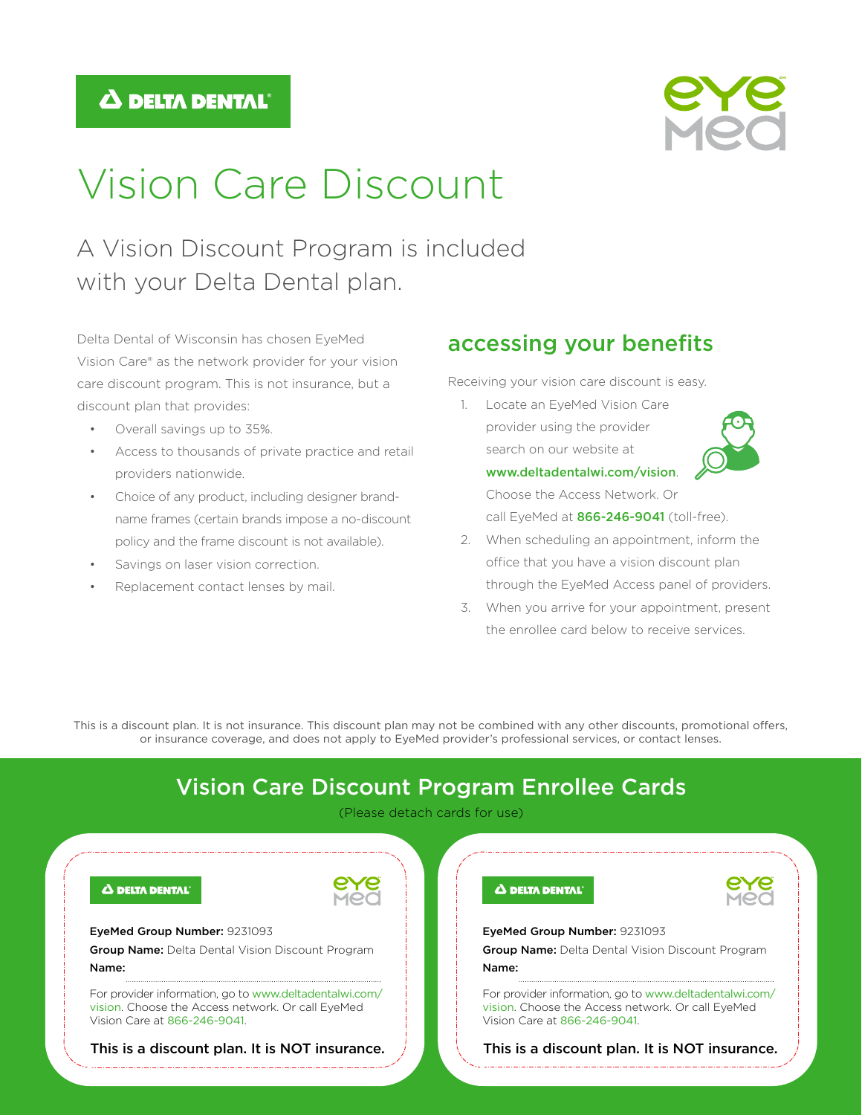## $\Delta$  delta dental



# Vision Care Discount

# A Vision Discount Program is included with your Delta Dental plan.

Delta Dental of Wisconsin has chosen EyeMed Vision Care® as the network provider for your vision care discount program. This is not insurance, but a discount plan that provides:

- Overall savings up to 35%.
- Access to thousands of private practice and retail providers nationwide.
- Choice of any product, including designer brandname frames (certain brands impose a no-discount policy and the frame discount is not available).
- Savings on laser vision correction.
- Replacement contact lenses by mail.

## accessing your benefits

Receiving your vision care discount is easy.

1. Locate an EyeMed Vision Care provider using the provider search on our website at www.deltadentalwi.com/vision.



Choose the Access Network. Or call EveMed at 866-246-9041 (toll-free).

- 2. When scheduling an appointment, inform the office that you have a vision discount plan through the EyeMed Access panel of providers.
- 3. When you arrive for your appointment, present the enrollee card below to receive services.

This is a discount plan. It is not insurance. This discount plan may not be combined with any other discounts, promotional offers, or insurance coverage, and does not apply to EyeMed provider's professional services, or contact lenses.

# Vision Care Discount Program Enrollee Cards

(Please detach cards for use)